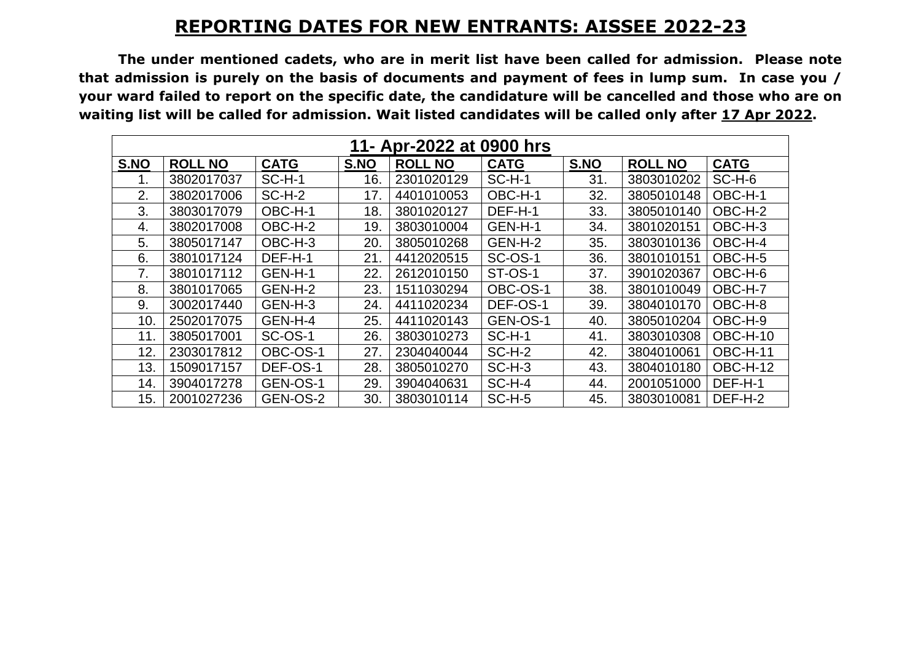## **REPORTING DATES FOR NEW ENTRANTS: AISSEE 2022-23**

**The under mentioned cadets, who are in merit list have been called for admission. Please note that admission is purely on the basis of documents and payment of fees in lump sum. In case you / your ward failed to report on the specific date, the candidature will be cancelled and those who are on waiting list will be called for admission. Wait listed candidates will be called only after 17 Apr 2022.**

| 11- Apr-2022 at 0900 hrs |                |                |      |                |                |      |                |                 |  |  |  |  |
|--------------------------|----------------|----------------|------|----------------|----------------|------|----------------|-----------------|--|--|--|--|
| S.NO                     | <b>ROLL NO</b> | <b>CATG</b>    | S.NO | <b>ROLL NO</b> | <b>CATG</b>    | S.NO | <b>ROLL NO</b> | <b>CATG</b>     |  |  |  |  |
|                          | 3802017037     | $SC-H-1$       | 16.  | 2301020129     | $SC-H-1$       | 31.  | 3803010202     | $SC-H-6$        |  |  |  |  |
| 2.                       | 3802017006     | $SC-H-2$       | 17.  | 4401010053     | OBC-H-1        | 32.  | 3805010148     | OBC-H-1         |  |  |  |  |
| 3.                       | 3803017079     | OBC-H-1        | 18.  | 3801020127     | DEF-H-1        | 33.  | 3805010140     | OBC-H-2         |  |  |  |  |
| 4.                       | 3802017008     | OBC-H-2        | 19.  | 3803010004     | GEN-H-1        | 34.  | 3801020151     | OBC-H-3         |  |  |  |  |
| 5.                       | 3805017147     | OBC-H-3        | 20.  | 3805010268     | GEN-H-2        | 35.  | 3803010136     | OBC-H-4         |  |  |  |  |
| 6.                       | 3801017124     | DEF-H-1        | 21.  | 4412020515     | <b>SC-OS-1</b> | 36.  | 3801010151     | OBC-H-5         |  |  |  |  |
| 7.                       | 3801017112     | GEN-H-1        | 22.  | 2612010150     | ST-OS-1        | 37.  | 3901020367     | OBC-H-6         |  |  |  |  |
| 8.                       | 3801017065     | GEN-H-2        | 23.  | 1511030294     | OBC-OS-1       | 38.  | 3801010049     | OBC-H-7         |  |  |  |  |
| 9.                       | 3002017440     | GEN-H-3        | 24.  | 4411020234     | DEF-OS-1       | 39.  | 3804010170     | OBC-H-8         |  |  |  |  |
| 10.                      | 2502017075     | GEN-H-4        | 25.  | 4411020143     | GEN-OS-1       | 40.  | 3805010204     | OBC-H-9         |  |  |  |  |
| 11.                      | 3805017001     | <b>SC-OS-1</b> | 26.  | 3803010273     | $SC-H-1$       | 41.  | 3803010308     | OBC-H-10        |  |  |  |  |
| 12.                      | 2303017812     | OBC-OS-1       | 27.  | 2304040044     | $SC-H-2$       | 42.  | 3804010061     | <b>OBC-H-11</b> |  |  |  |  |
| 13.                      | 1509017157     | DEF-OS-1       | 28.  | 3805010270     | $SC-H-3$       | 43.  | 3804010180     | OBC-H-12        |  |  |  |  |
| 14.                      | 3904017278     | GEN-OS-1       | 29.  | 3904040631     | $SC-H-4$       | 44.  | 2001051000     | DEF-H-1         |  |  |  |  |
| 15.                      | 2001027236     | GEN-OS-2       | 30.  | 3803010114     | $SC-H-5$       | 45.  | 3803010081     | DEF-H-2         |  |  |  |  |